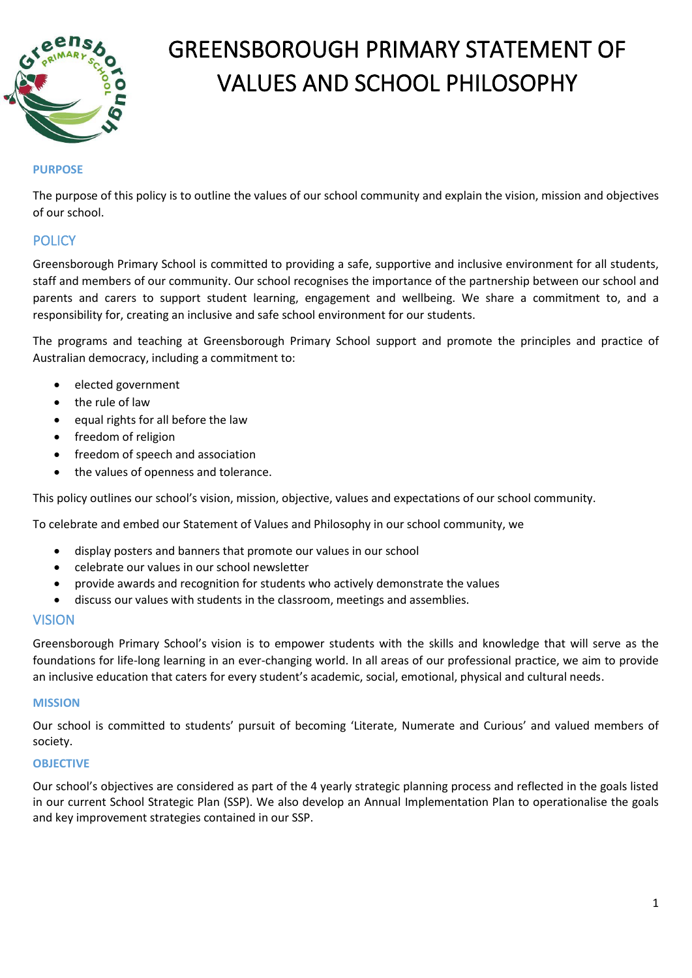

# GREENSBOROUGH PRIMARY STATEMENT OF VALUES AND SCHOOL PHILOSOPHY

## **PURPOSE**

The purpose of this policy is to outline the values of our school community and explain the vision, mission and objectives of our school.

# **POLICY**

Greensborough Primary School is committed to providing a safe, supportive and inclusive environment for all students, staff and members of our community. Our school recognises the importance of the partnership between our school and parents and carers to support student learning, engagement and wellbeing. We share a commitment to, and a responsibility for, creating an inclusive and safe school environment for our students.

The programs and teaching at Greensborough Primary School support and promote the principles and practice of Australian democracy, including a commitment to:

- elected government
- the rule of law
- equal rights for all before the law
- freedom of religion
- freedom of speech and association
- the values of openness and tolerance.

This policy outlines our school's vision, mission, objective, values and expectations of our school community.

To celebrate and embed our Statement of Values and Philosophy in our school community, we

- display posters and banners that promote our values in our school
- celebrate our values in our school newsletter
- provide awards and recognition for students who actively demonstrate the values
- discuss our values with students in the classroom, meetings and assemblies.

### VISION

Greensborough Primary School's vision is to empower students with the skills and knowledge that will serve as the foundations for life-long learning in an ever-changing world. In all areas of our professional practice, we aim to provide an inclusive education that caters for every student's academic, social, emotional, physical and cultural needs.

#### **MISSION**

Our school is committed to students' pursuit of becoming 'Literate, Numerate and Curious' and valued members of society.

#### **OBJECTIVE**

Our school's objectives are considered as part of the 4 yearly strategic planning process and reflected in the goals listed in our current School Strategic Plan (SSP). We also develop an Annual Implementation Plan to operationalise the goals and key improvement strategies contained in our SSP.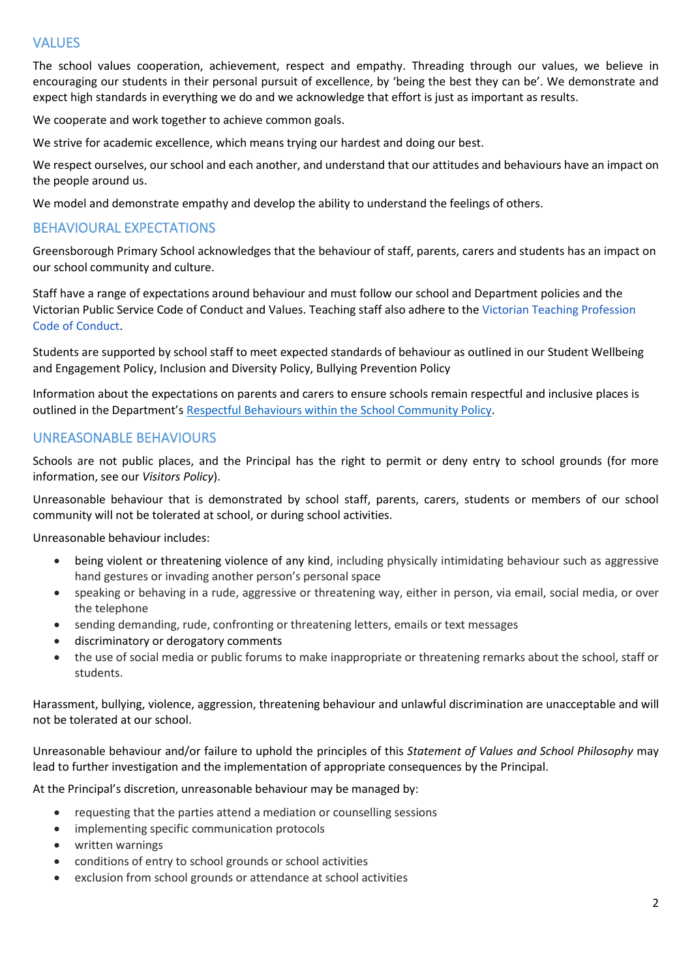# VALUES

The school values cooperation, achievement, respect and empathy. Threading through our values, we believe in encouraging our students in their personal pursuit of excellence, by 'being the best they can be'. We demonstrate and expect high standards in everything we do and we acknowledge that effort is just as important as results.

We cooperate and work together to achieve common goals.

We strive for academic excellence, which means trying our hardest and doing our best.

We respect ourselves, our school and each another, and understand that our attitudes and behaviours have an impact on the people around us.

We model and demonstrate empathy and develop the ability to understand the feelings of others.

## BEHAVIOURAL EXPECTATIONS

Greensborough Primary School acknowledges that the behaviour of staff, parents, carers and students has an impact on our school community and culture.

Staff have a range of expectations around behaviour and must follow our school and Department policies and the Victorian Public Service Code of Conduct and Values. Teaching staff also adhere to the [Victorian Teaching Profession](https://aus01.safelinks.protection.outlook.com/?url=https%3A%2F%2Fwww.vit.vic.edu.au%2F__data%2Fassets%2Fpdf_file%2F0018%2F35604%2FCode-of-Conduct-2016.pdf&data=04%7C01%7CDanica.Murfett%40education.vic.gov.au%7Cb43d1afd7ebb473c81e508d981873340%7Cd96cb3371a8744cfb69b3cec334a4c1f%7C0%7C0%7C637683239979128787%7CUnknown%7CTWFpbGZsb3d8eyJWIjoiMC4wLjAwMDAiLCJQIjoiV2luMzIiLCJBTiI6Ik1haWwiLCJXVCI6Mn0%3D%7C1000&sdata=heJJ%2BZ8GEARC17dMHn1KSHr7h71dVWpSqPJTehqiq0c%3D&reserved=0)  Code of [Conduct.](https://aus01.safelinks.protection.outlook.com/?url=https%3A%2F%2Fwww.vit.vic.edu.au%2F__data%2Fassets%2Fpdf_file%2F0018%2F35604%2FCode-of-Conduct-2016.pdf&data=04%7C01%7CDanica.Murfett%40education.vic.gov.au%7Cb43d1afd7ebb473c81e508d981873340%7Cd96cb3371a8744cfb69b3cec334a4c1f%7C0%7C0%7C637683239979128787%7CUnknown%7CTWFpbGZsb3d8eyJWIjoiMC4wLjAwMDAiLCJQIjoiV2luMzIiLCJBTiI6Ik1haWwiLCJXVCI6Mn0%3D%7C1000&sdata=heJJ%2BZ8GEARC17dMHn1KSHr7h71dVWpSqPJTehqiq0c%3D&reserved=0)

Students are supported by school staff to meet expected standards of behaviour as outlined in our Student Wellbeing and Engagement Policy, Inclusion and Diversity Policy, Bullying Prevention Policy

Information about the expectations on parents and carers to ensure schools remain respectful and inclusive places is outlined in the Department's [Respectful Behaviours within the School Community Policy.](https://www.education.vic.gov.au/Pages/Respectful-Behaviours-within-the-School-Community-Policy.aspx)

# UNREASONABLE BEHAVIOURS

Schools are not public places, and the Principal has the right to permit or deny entry to school grounds (for more information, see our *Visitors Policy*).

Unreasonable behaviour that is demonstrated by school staff, parents, carers, students or members of our school community will not be tolerated at school, or during school activities.

Unreasonable behaviour includes:

- being violent or threatening violence of any kind, including physically intimidating behaviour such as aggressive hand gestures or invading another person's personal space
- speaking or behaving in a rude, aggressive or threatening way, either in person, via email, social media, or over the telephone
- sending demanding, rude, confronting or threatening letters, emails or text messages
- discriminatory or derogatory comments
- the use of social media or public forums to make inappropriate or threatening remarks about the school, staff or students.

Harassment, bullying, violence, aggression, threatening behaviour and unlawful discrimination are unacceptable and will not be tolerated at our school.

Unreasonable behaviour and/or failure to uphold the principles of this *Statement of Values and School Philosophy* may lead to further investigation and the implementation of appropriate consequences by the Principal.

At the Principal's discretion, unreasonable behaviour may be managed by:

- requesting that the parties attend a mediation or counselling sessions
- implementing specific communication protocols
- written warnings
- conditions of entry to school grounds or school activities
- exclusion from school grounds or attendance at school activities